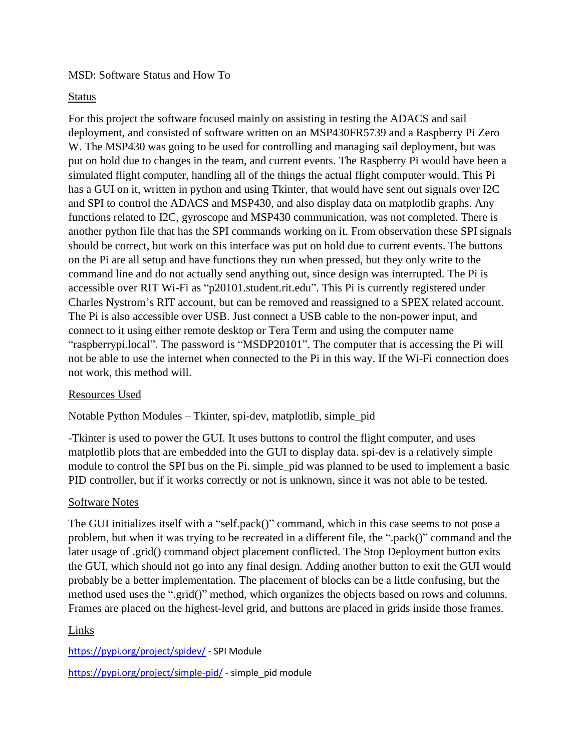### MSD: Software Status and How To

### Status

For this project the software focused mainly on assisting in testing the ADACS and sail deployment, and consisted of software written on an MSP430FR5739 and a Raspberry Pi Zero W. The MSP430 was going to be used for controlling and managing sail deployment, but was put on hold due to changes in the team, and current events. The Raspberry Pi would have been a simulated flight computer, handling all of the things the actual flight computer would. This Pi has a GUI on it, written in python and using Tkinter, that would have sent out signals over I2C and SPI to control the ADACS and MSP430, and also display data on matplotlib graphs. Any functions related to I2C, gyroscope and MSP430 communication, was not completed. There is another python file that has the SPI commands working on it. From observation these SPI signals should be correct, but work on this interface was put on hold due to current events. The buttons on the Pi are all setup and have functions they run when pressed, but they only write to the command line and do not actually send anything out, since design was interrupted. The Pi is accessible over RIT Wi-Fi as "p20101.student.rit.edu". This Pi is currently registered under Charles Nystrom's RIT account, but can be removed and reassigned to a SPEX related account. The Pi is also accessible over USB. Just connect a USB cable to the non-power input, and connect to it using either remote desktop or Tera Term and using the computer name "raspberrypi.local". The password is "MSDP20101". The computer that is accessing the Pi will not be able to use the internet when connected to the Pi in this way. If the Wi-Fi connection does not work, this method will.

# Resources Used

Notable Python Modules – Tkinter, spi-dev, matplotlib, simple\_pid

-Tkinter is used to power the GUI. It uses buttons to control the flight computer, and uses matplotlib plots that are embedded into the GUI to display data. spi-dev is a relatively simple module to control the SPI bus on the Pi. simple\_pid was planned to be used to implement a basic PID controller, but if it works correctly or not is unknown, since it was not able to be tested.

#### Software Notes

The GUI initializes itself with a "self.pack()" command, which in this case seems to not pose a problem, but when it was trying to be recreated in a different file, the ".pack()" command and the later usage of .grid() command object placement conflicted. The Stop Deployment button exits the GUI, which should not go into any final design. Adding another button to exit the GUI would probably be a better implementation. The placement of blocks can be a little confusing, but the method used uses the ".grid()" method, which organizes the objects based on rows and columns. Frames are placed on the highest-level grid, and buttons are placed in grids inside those frames.

# Links

<https://pypi.org/project/spidev/> - SPI Module <https://pypi.org/project/simple-pid/> - simple\_pid module